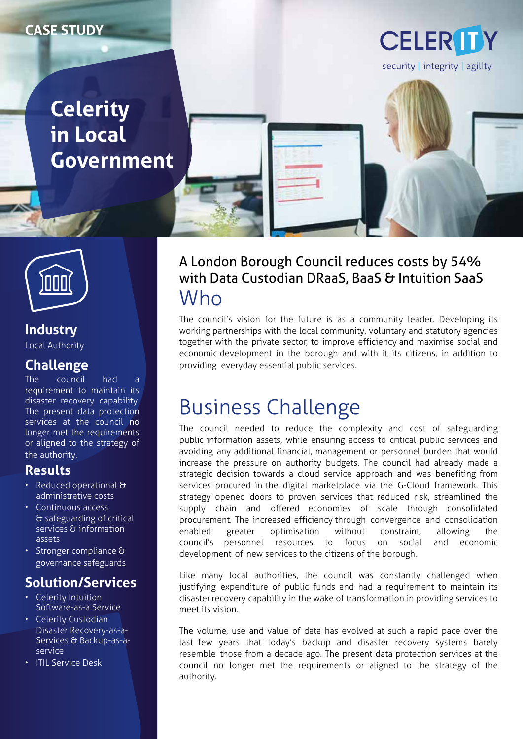#### **CASE STUDY**

# **Celerity in Local Government**



**Industry** Local Authority

#### **Challenge**

The council had a requirement to maintain its disaster recovery capability. The present data protection services at the council no longer met the requirements or aligned to the strategy of the authority.

#### **Results**

- Reduced operational & administrative costs
- Continuous access & safeguarding of critical services & information assets
- Stronger compliance & governance safeguards

#### **Solution/Services**

- Celerity Intuition Software-as-a Service
- Celerity Custodian Disaster Recovery-as-a-Services & Backup-as-aservice
- ITIL Service Desk



### A London Borough Council reduces costs by 54% with Data Custodian DRaaS, BaaS & Intuition SaaS Who

The council's vision for the future is as a community leader. Developing its working partnerships with the local community, voluntary and statutory agencies together with the private sector, to improve efficiency and maximise social and economic development in the borough and with it its citizens, in addition to providing everyday essential public services.

# Business Challenge

The council needed to reduce the complexity and cost of safeguarding public information assets, while ensuring access to critical public services and avoiding any additional financial, management or personnel burden that would increase the pressure on authority budgets. The council had already made a strategic decision towards a cloud service approach and was benefiting from services procured in the digital marketplace via the G-Cloud framework. This strategy opened doors to proven services that reduced risk, streamlined the supply chain and offered economies of scale through consolidated procurement. The increased efficiency through convergence and consolidation enabled greater optimisation without constraint, allowing the council's personnel resources to focus on social and economic development of new services to the citizens of the borough.

Like many local authorities, the council was constantly challenged when justifying expenditure of public funds and had a requirement to maintain its disaster recovery capability in the wake of transformation in providing services to meet its vision.

The volume, use and value of data has evolved at such a rapid pace over the last few years that today's backup and disaster recovery systems barely resemble those from a decade ago. The present data protection services at the council no longer met the requirements or aligned to the strategy of the authority.